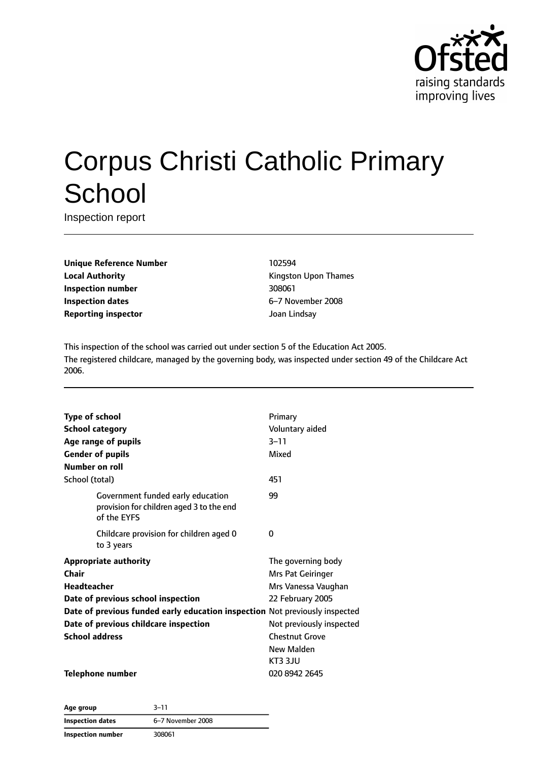

# Corpus Christi Catholic Primary **School**

Inspection report

**Unique Reference Number** 102594 **Local Authority Constanting Constanting Kingston Upon Thames Inspection number** 308061 **Inspection dates** 6–7 November 2008 **Reporting inspector and a structure of the United Structure Control of the United Structure Control of the United Structure Control of the United Structure Control of the United Structure Control of the United Structure** 

This inspection of the school was carried out under section 5 of the Education Act 2005. The registered childcare, managed by the governing body, was inspected under section 49 of the Childcare Act 2006.

| <b>Type of school</b>                                                       |                                                                                              | Primary                  |
|-----------------------------------------------------------------------------|----------------------------------------------------------------------------------------------|--------------------------|
| <b>School category</b>                                                      |                                                                                              | Voluntary aided          |
|                                                                             | Age range of pupils                                                                          | $3 - 11$                 |
| <b>Gender of pupils</b>                                                     |                                                                                              | Mixed                    |
| Number on roll                                                              |                                                                                              |                          |
| School (total)                                                              |                                                                                              | 451                      |
|                                                                             | Government funded early education<br>provision for children aged 3 to the end<br>of the EYFS | 99                       |
|                                                                             | Childcare provision for children aged 0<br>to 3 years                                        | 0                        |
|                                                                             | <b>Appropriate authority</b>                                                                 | The governing body       |
| <b>Chair</b>                                                                |                                                                                              | Mrs Pat Geiringer        |
| <b>Headteacher</b>                                                          |                                                                                              | Mrs Vanessa Vaughan      |
| Date of previous school inspection                                          |                                                                                              | 22 February 2005         |
| Date of previous funded early education inspection Not previously inspected |                                                                                              |                          |
| Date of previous childcare inspection                                       |                                                                                              | Not previously inspected |
| <b>School address</b>                                                       |                                                                                              | <b>Chestnut Grove</b>    |
|                                                                             |                                                                                              | New Malden               |
|                                                                             |                                                                                              | KT3 3JU                  |
|                                                                             | <b>Telephone number</b>                                                                      | 020 8942 2645            |

**Age group** 3–11 **Inspection dates** 6–7 November 2008 **Inspection number** 308061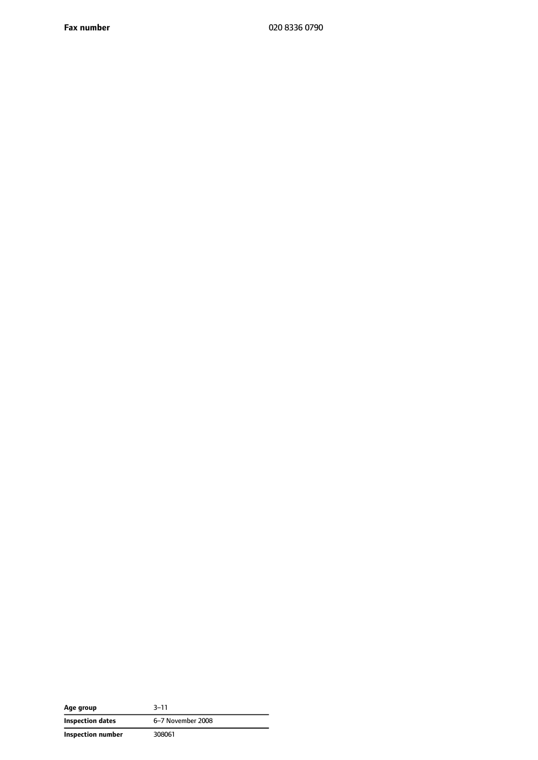**Fax number** 020 8336 0790

| Age group         | $3 - 11$          |
|-------------------|-------------------|
| Inspection dates  | 6-7 November 2008 |
| Inspection number | 308061            |

 $\overline{a}$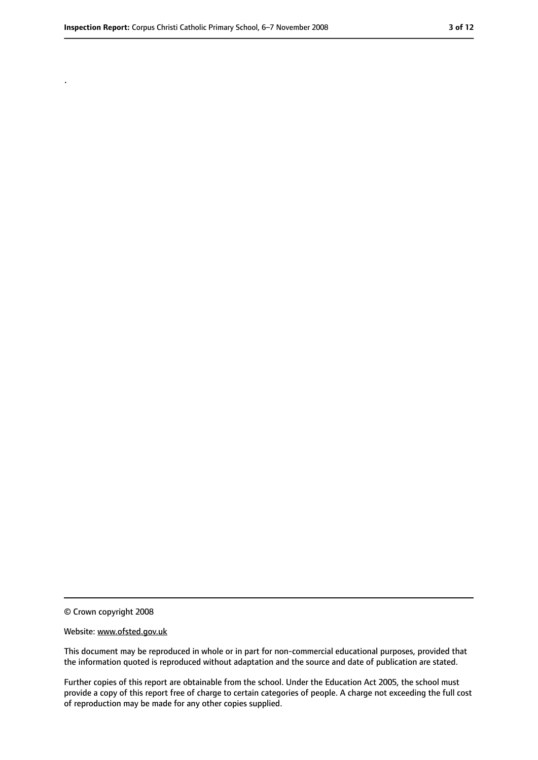.

<sup>©</sup> Crown copyright 2008

Website: www.ofsted.gov.uk

This document may be reproduced in whole or in part for non-commercial educational purposes, provided that the information quoted is reproduced without adaptation and the source and date of publication are stated.

Further copies of this report are obtainable from the school. Under the Education Act 2005, the school must provide a copy of this report free of charge to certain categories of people. A charge not exceeding the full cost of reproduction may be made for any other copies supplied.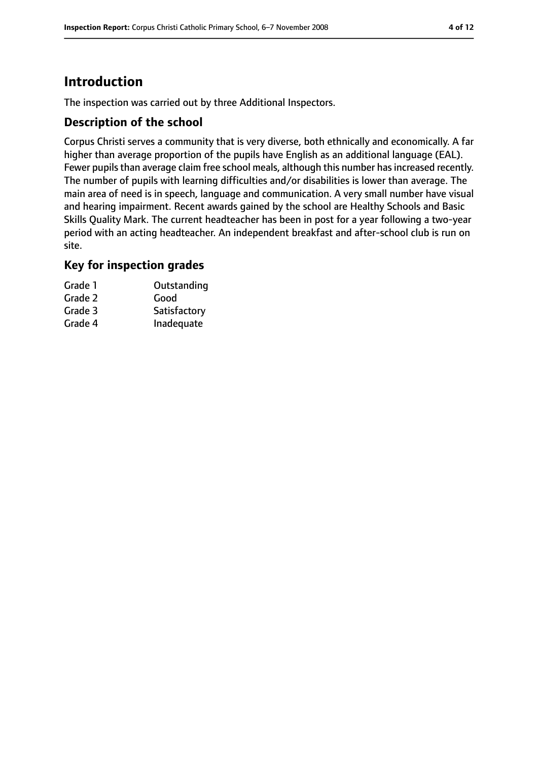# **Introduction**

The inspection was carried out by three Additional Inspectors.

#### **Description of the school**

Corpus Christi serves a community that is very diverse, both ethnically and economically. A far higher than average proportion of the pupils have English as an additional language (EAL). Fewer pupils than average claim free school meals, although this number has increased recently. The number of pupils with learning difficulties and/or disabilities is lower than average. The main area of need is in speech, language and communication. A very small number have visual and hearing impairment. Recent awards gained by the school are Healthy Schools and Basic Skills Quality Mark. The current headteacher has been in post for a year following a two-year period with an acting headteacher. An independent breakfast and after-school club is run on site.

#### **Key for inspection grades**

| Grade 1 | Outstanding  |
|---------|--------------|
| Grade 2 | Good         |
| Grade 3 | Satisfactory |
| Grade 4 | Inadequate   |
|         |              |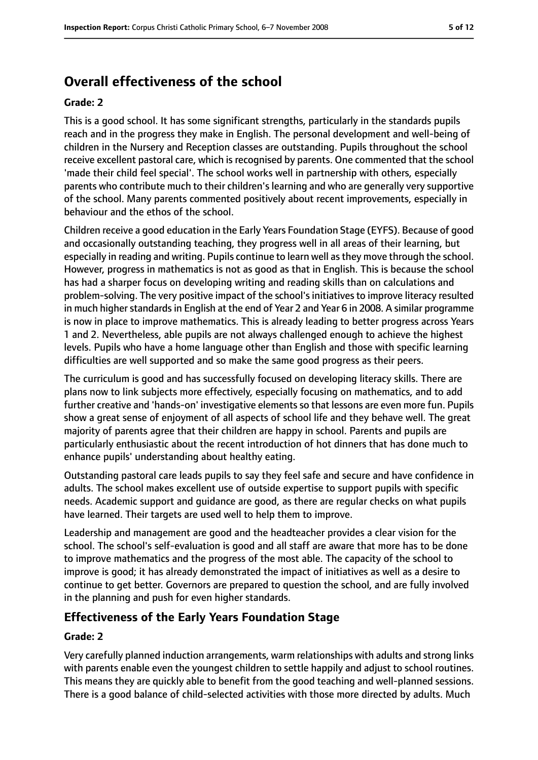# **Overall effectiveness of the school**

#### **Grade: 2**

This is a good school. It has some significant strengths, particularly in the standards pupils reach and in the progress they make in English. The personal development and well-being of children in the Nursery and Reception classes are outstanding. Pupils throughout the school receive excellent pastoral care, which is recognised by parents. One commented that the school 'made their child feel special'. The school works well in partnership with others, especially parents who contribute much to their children's learning and who are generally very supportive of the school. Many parents commented positively about recent improvements, especially in behaviour and the ethos of the school.

Children receive a good education in the Early Years Foundation Stage (EYFS). Because of good and occasionally outstanding teaching, they progress well in all areas of their learning, but especially in reading and writing. Pupils continue to learn well as they move through the school. However, progress in mathematics is not as good as that in English. This is because the school has had a sharper focus on developing writing and reading skills than on calculations and problem-solving. The very positive impact of the school's initiatives to improve literacy resulted in much higher standards in English at the end of Year 2 and Year 6 in 2008. A similar programme is now in place to improve mathematics. This is already leading to better progress across Years 1 and 2. Nevertheless, able pupils are not always challenged enough to achieve the highest levels. Pupils who have a home language other than English and those with specific learning difficulties are well supported and so make the same good progress as their peers.

The curriculum is good and has successfully focused on developing literacy skills. There are plans now to link subjects more effectively, especially focusing on mathematics, and to add further creative and 'hands-on' investigative elements so that lessons are even more fun. Pupils show a great sense of enjoyment of all aspects of school life and they behave well. The great majority of parents agree that their children are happy in school. Parents and pupils are particularly enthusiastic about the recent introduction of hot dinners that has done much to enhance pupils' understanding about healthy eating.

Outstanding pastoral care leads pupils to say they feel safe and secure and have confidence in adults. The school makes excellent use of outside expertise to support pupils with specific needs. Academic support and guidance are good, as there are regular checks on what pupils have learned. Their targets are used well to help them to improve.

Leadership and management are good and the headteacher provides a clear vision for the school. The school's self-evaluation is good and all staff are aware that more has to be done to improve mathematics and the progress of the most able. The capacity of the school to improve is good; it has already demonstrated the impact of initiatives as well as a desire to continue to get better. Governors are prepared to question the school, and are fully involved in the planning and push for even higher standards.

## **Effectiveness of the Early Years Foundation Stage**

#### **Grade: 2**

Very carefully planned induction arrangements, warm relationships with adults and strong links with parents enable even the youngest children to settle happily and adjust to school routines. This means they are quickly able to benefit from the good teaching and well-planned sessions. There is a good balance of child-selected activities with those more directed by adults. Much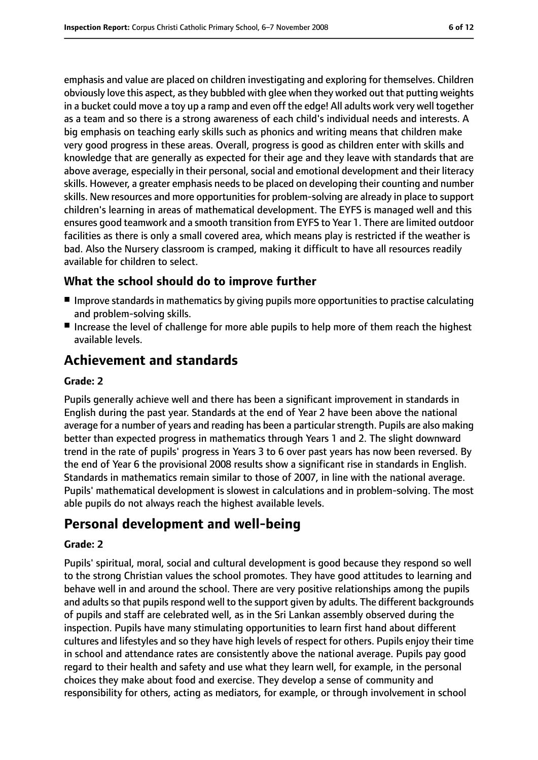emphasis and value are placed on children investigating and exploring for themselves. Children obviously love this aspect, as they bubbled with glee when they worked out that putting weights in a bucket could move a toy up a ramp and even off the edge! All adults work very well together as a team and so there is a strong awareness of each child's individual needs and interests. A big emphasis on teaching early skills such as phonics and writing means that children make very good progress in these areas. Overall, progress is good as children enter with skills and knowledge that are generally as expected for their age and they leave with standards that are above average, especially in their personal, social and emotional development and their literacy skills. However, a greater emphasis needs to be placed on developing their counting and number skills. New resources and more opportunities for problem-solving are already in place to support children's learning in areas of mathematical development. The EYFS is managed well and this ensures good teamwork and a smooth transition from EYFS to Year 1. There are limited outdoor facilities as there is only a small covered area, which means play is restricted if the weather is bad. Also the Nursery classroom is cramped, making it difficult to have all resources readily available for children to select.

## **What the school should do to improve further**

- Improve standards in mathematics by giving pupils more opportunities to practise calculating and problem-solving skills.
- Increase the level of challenge for more able pupils to help more of them reach the highest available levels.

# **Achievement and standards**

#### **Grade: 2**

Pupils generally achieve well and there has been a significant improvement in standards in English during the past year. Standards at the end of Year 2 have been above the national average for a number of years and reading has been a particular strength. Pupils are also making better than expected progress in mathematics through Years 1 and 2. The slight downward trend in the rate of pupils' progress in Years 3 to 6 over past years has now been reversed. By the end of Year 6 the provisional 2008 results show a significant rise in standards in English. Standards in mathematics remain similar to those of 2007, in line with the national average. Pupils' mathematical development is slowest in calculations and in problem-solving. The most able pupils do not always reach the highest available levels.

# **Personal development and well-being**

#### **Grade: 2**

Pupils' spiritual, moral, social and cultural development is good because they respond so well to the strong Christian values the school promotes. They have good attitudes to learning and behave well in and around the school. There are very positive relationships among the pupils and adults so that pupils respond well to the support given by adults. The different backgrounds of pupils and staff are celebrated well, as in the Sri Lankan assembly observed during the inspection. Pupils have many stimulating opportunities to learn first hand about different cultures and lifestyles and so they have high levels of respect for others. Pupils enjoy their time in school and attendance rates are consistently above the national average. Pupils pay good regard to their health and safety and use what they learn well, for example, in the personal choices they make about food and exercise. They develop a sense of community and responsibility for others, acting as mediators, for example, or through involvement in school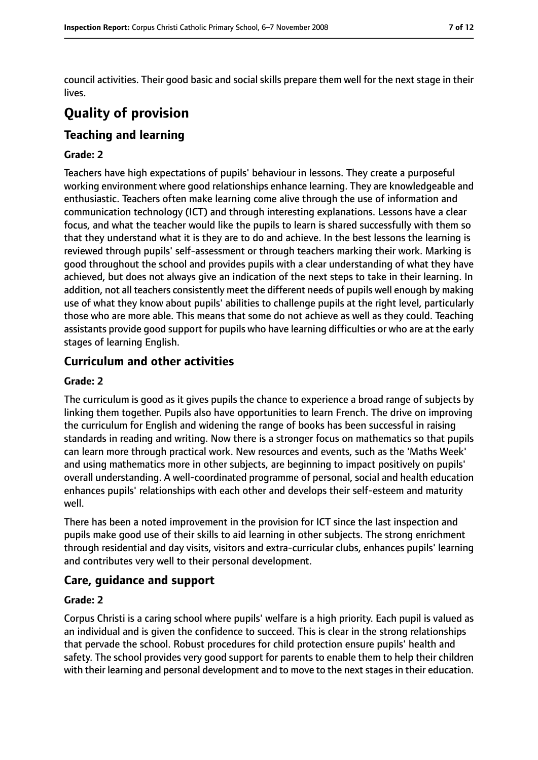council activities. Their good basic and social skills prepare them well for the next stage in their lives.

# **Quality of provision**

## **Teaching and learning**

#### **Grade: 2**

Teachers have high expectations of pupils' behaviour in lessons. They create a purposeful working environment where good relationships enhance learning. They are knowledgeable and enthusiastic. Teachers often make learning come alive through the use of information and communication technology (ICT) and through interesting explanations. Lessons have a clear focus, and what the teacher would like the pupils to learn is shared successfully with them so that they understand what it is they are to do and achieve. In the best lessons the learning is reviewed through pupils' self-assessment or through teachers marking their work. Marking is good throughout the school and provides pupils with a clear understanding of what they have achieved, but does not always give an indication of the next steps to take in their learning. In addition, not all teachers consistently meet the different needs of pupils well enough by making use of what they know about pupils' abilities to challenge pupils at the right level, particularly those who are more able. This means that some do not achieve as well as they could. Teaching assistants provide good support for pupils who have learning difficulties or who are at the early stages of learning English.

## **Curriculum and other activities**

#### **Grade: 2**

The curriculum is good as it gives pupils the chance to experience a broad range of subjects by linking them together. Pupils also have opportunities to learn French. The drive on improving the curriculum for English and widening the range of books has been successful in raising standards in reading and writing. Now there is a stronger focus on mathematics so that pupils can learn more through practical work. New resources and events, such as the 'Maths Week' and using mathematics more in other subjects, are beginning to impact positively on pupils' overall understanding. A well-coordinated programme of personal, social and health education enhances pupils' relationships with each other and develops their self-esteem and maturity well.

There has been a noted improvement in the provision for ICT since the last inspection and pupils make good use of their skills to aid learning in other subjects. The strong enrichment through residential and day visits, visitors and extra-curricular clubs, enhances pupils' learning and contributes very well to their personal development.

#### **Care, guidance and support**

#### **Grade: 2**

Corpus Christi is a caring school where pupils' welfare is a high priority. Each pupil is valued as an individual and is given the confidence to succeed. This is clear in the strong relationships that pervade the school. Robust procedures for child protection ensure pupils' health and safety. The school provides very good support for parents to enable them to help their children with their learning and personal development and to move to the next stages in their education.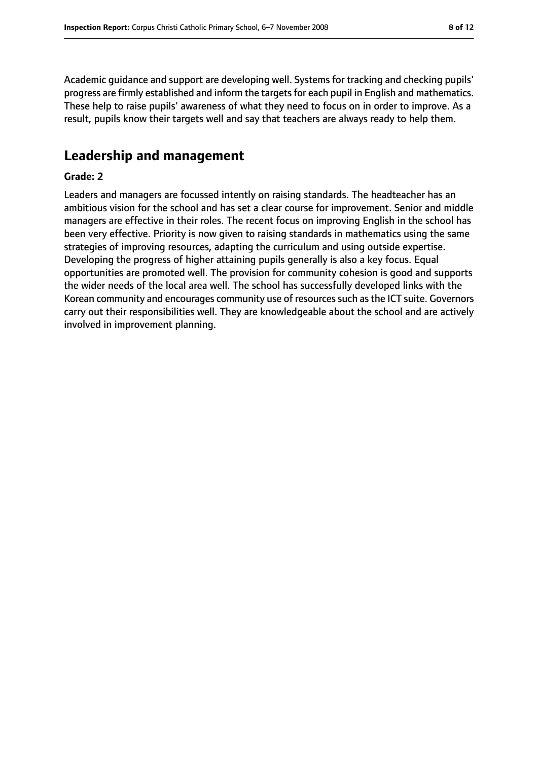Academic guidance and support are developing well. Systems for tracking and checking pupils' progress are firmly established and inform the targets for each pupil in English and mathematics. These help to raise pupils' awareness of what they need to focus on in order to improve. As a result, pupils know their targets well and say that teachers are always ready to help them.

# **Leadership and management**

#### **Grade: 2**

Leaders and managers are focussed intently on raising standards. The headteacher has an ambitious vision for the school and has set a clear course for improvement. Senior and middle managers are effective in their roles. The recent focus on improving English in the school has been very effective. Priority is now given to raising standards in mathematics using the same strategies of improving resources, adapting the curriculum and using outside expertise. Developing the progress of higher attaining pupils generally is also a key focus. Equal opportunities are promoted well. The provision for community cohesion is good and supports the wider needs of the local area well. The school has successfully developed links with the Korean community and encourages community use of resources such as the ICT suite. Governors carry out their responsibilities well. They are knowledgeable about the school and are actively involved in improvement planning.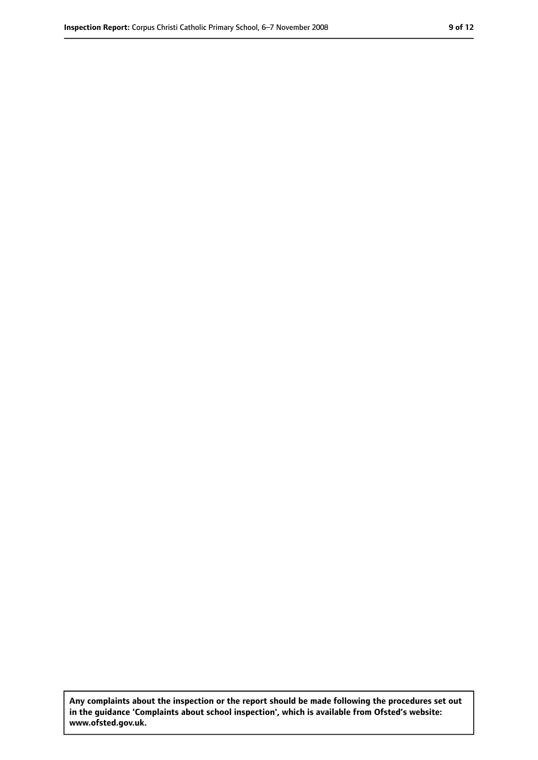**Any complaints about the inspection or the report should be made following the procedures set out in the guidance 'Complaints about school inspection', which is available from Ofsted's website: www.ofsted.gov.uk.**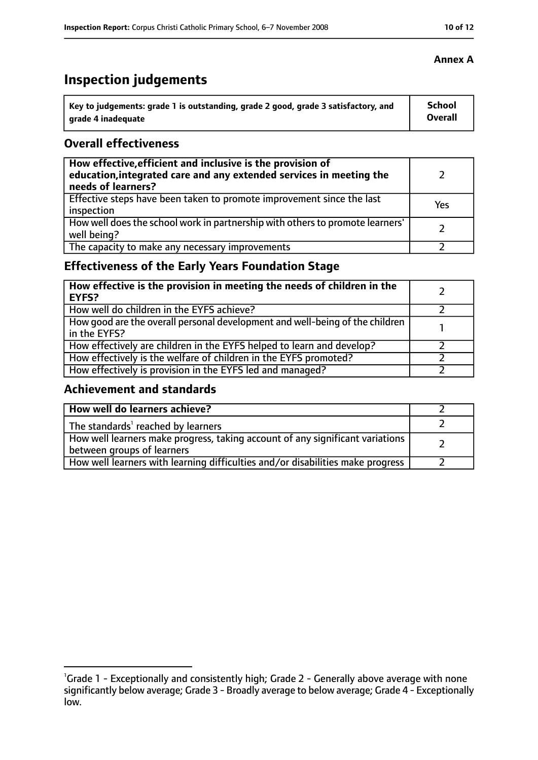# **Inspection judgements**

| Key to judgements: grade 1 is outstanding, grade 2 good, grade 3 satisfactory, and | <b>School</b> |
|------------------------------------------------------------------------------------|---------------|
| arade 4 inadequate                                                                 | Overall       |

## **Overall effectiveness**

| How effective, efficient and inclusive is the provision of<br>education, integrated care and any extended services in meeting the<br>needs of learners? |     |
|---------------------------------------------------------------------------------------------------------------------------------------------------------|-----|
| Effective steps have been taken to promote improvement since the last<br>inspection                                                                     | Yes |
| How well does the school work in partnership with others to promote learners'<br>well being?                                                            |     |
| The capacity to make any necessary improvements                                                                                                         |     |

# **Effectiveness of the Early Years Foundation Stage**

| How effective is the provision in meeting the needs of children in the<br><b>EYFS?</b>       |  |
|----------------------------------------------------------------------------------------------|--|
| How well do children in the EYFS achieve?                                                    |  |
| How good are the overall personal development and well-being of the children<br>in the EYFS? |  |
| How effectively are children in the EYFS helped to learn and develop?                        |  |
| How effectively is the welfare of children in the EYFS promoted?                             |  |
| How effectively is provision in the EYFS led and managed?                                    |  |

## **Achievement and standards**

| How well do learners achieve?                                                                               |  |
|-------------------------------------------------------------------------------------------------------------|--|
| The standards <sup>1</sup> reached by learners                                                              |  |
| How well learners make progress, taking account of any significant variations<br>between groups of learners |  |
| How well learners with learning difficulties and/or disabilities make progress                              |  |

## **Annex A**

<sup>&</sup>lt;sup>1</sup>Grade 1 - Exceptionally and consistently high; Grade 2 - Generally above average with none

significantly below average; Grade 3 - Broadly average to below average; Grade 4 - Exceptionally low.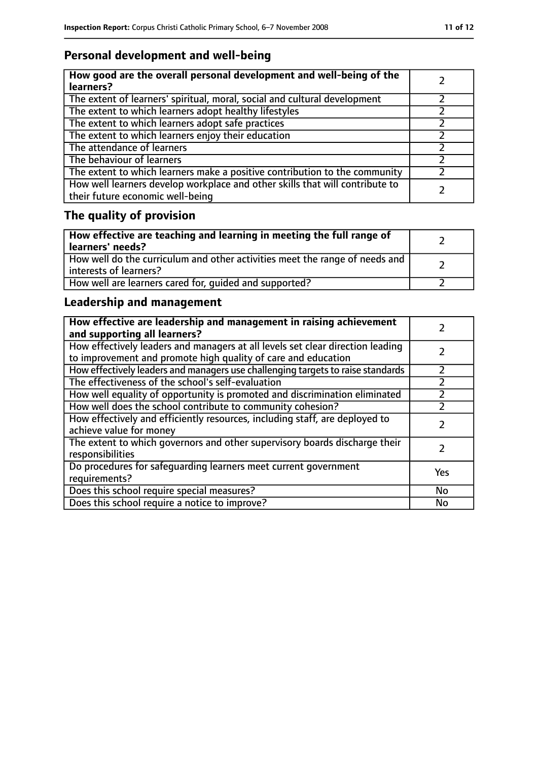# **Personal development and well-being**

| How good are the overall personal development and well-being of the<br>learners?                                 |  |
|------------------------------------------------------------------------------------------------------------------|--|
| The extent of learners' spiritual, moral, social and cultural development                                        |  |
| The extent to which learners adopt healthy lifestyles                                                            |  |
| The extent to which learners adopt safe practices                                                                |  |
| The extent to which learners enjoy their education                                                               |  |
| The attendance of learners                                                                                       |  |
| The behaviour of learners                                                                                        |  |
| The extent to which learners make a positive contribution to the community                                       |  |
| How well learners develop workplace and other skills that will contribute to<br>their future economic well-being |  |

# **The quality of provision**

| How effective are teaching and learning in meeting the full range of<br>learners' needs?              |  |
|-------------------------------------------------------------------------------------------------------|--|
| How well do the curriculum and other activities meet the range of needs and<br>interests of learners? |  |
| How well are learners cared for, quided and supported?                                                |  |

# **Leadership and management**

| How effective are leadership and management in raising achievement<br>and supporting all learners?                                              |     |
|-------------------------------------------------------------------------------------------------------------------------------------------------|-----|
| How effectively leaders and managers at all levels set clear direction leading<br>to improvement and promote high quality of care and education |     |
| How effectively leaders and managers use challenging targets to raise standards                                                                 |     |
| The effectiveness of the school's self-evaluation                                                                                               |     |
| How well equality of opportunity is promoted and discrimination eliminated                                                                      |     |
| How well does the school contribute to community cohesion?                                                                                      |     |
| How effectively and efficiently resources, including staff, are deployed to<br>achieve value for money                                          |     |
| The extent to which governors and other supervisory boards discharge their<br>responsibilities                                                  |     |
| Do procedures for safequarding learners meet current government<br>requirements?                                                                | Yes |
| Does this school require special measures?                                                                                                      | No  |
| Does this school require a notice to improve?                                                                                                   | No  |